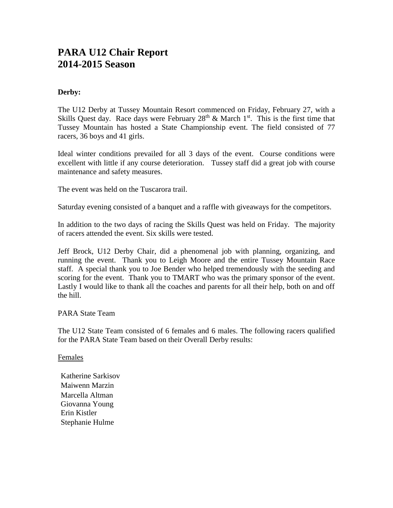# **PARA U12 Chair Report 2014-2015 Season**

## **Derby:**

The U12 Derby at Tussey Mountain Resort commenced on Friday, February 27, with a Skills Quest day. Race days were February  $28<sup>th</sup>$  & March  $1<sup>st</sup>$ . This is the first time that Tussey Mountain has hosted a State Championship event. The field consisted of 77 racers, 36 boys and 41 girls.

Ideal winter conditions prevailed for all 3 days of the event. Course conditions were excellent with little if any course deterioration. Tussey staff did a great job with course maintenance and safety measures.

The event was held on the Tuscarora trail.

Saturday evening consisted of a banquet and a raffle with giveaways for the competitors.

In addition to the two days of racing the Skills Quest was held on Friday. The majority of racers attended the event. Six skills were tested.

Jeff Brock, U12 Derby Chair, did a phenomenal job with planning, organizing, and running the event. Thank you to Leigh Moore and the entire Tussey Mountain Race staff. A special thank you to Joe Bender who helped tremendously with the seeding and scoring for the event. Thank you to TMART who was the primary sponsor of the event. Lastly I would like to thank all the coaches and parents for all their help, both on and off the hill.

PARA State Team

The U12 State Team consisted of 6 females and 6 males. The following racers qualified for the PARA State Team based on their Overall Derby results:

Females

Katherine Sarkisov Maiwenn Marzin Marcella Altman Giovanna Young Erin Kistler Stephanie Hulme